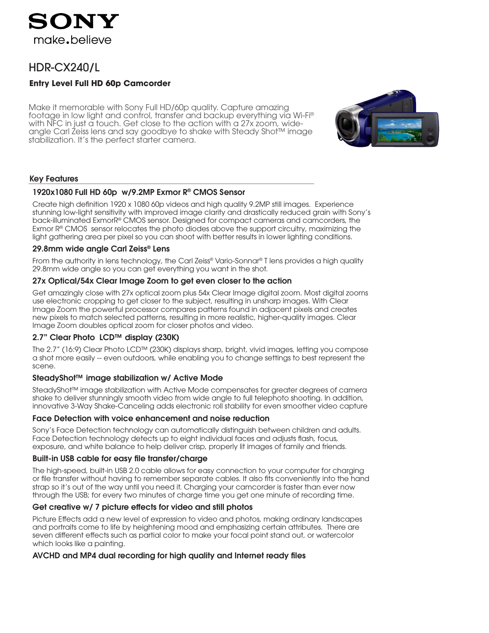

# HDR-CX240/L

## **Entry Level Full HD 60p Camcorder**

Make it memorable with Sony Full HD/60p quality. Capture amazing footage in low light and control, transfer and backup everything via Wi-Fi® with NFC in just a touch. Get close to the action with a 27x zoom, wideangle Carl Zeiss lens and say goodbye to shake with Steady Shot™ image stabilization. It's the perfect starter camera.



## Key Features

### 1920x1080 Full HD 60p w/9.2MP Exmor R® CMOS Sensor

Create high definition 1920 x 1080 60p videos and high quality 9.2MP still images. Experience stunning low-light sensitivity with improved image clarity and drastically reduced grain with Sony's back-illuminated ExmorR® CMOS sensor. Designed for compact cameras and camcorders, the Exmor R® CMOS sensor relocates the photo diodes above the support circuitry, maximizing the light gathering area per pixel so you can shoot with better results in lower lighting conditions.

## 29.8mm wide angle Carl Zeiss® Lens

From the authority in lens technology, the Carl Zeiss® Vario-Sonnar® T lens provides a high quality 29.8mm wide angle so you can get everything you want in the shot.

### 27x Optical/54x Clear Image Zoom to get even closer to the action

Get amazingly close with 27x optical zoom plus 54x Clear Image digital zoom. Most digital zooms use electronic cropping to get closer to the subject, resulting in unsharp images. With Clear Image Zoom the powerful processor compares patterns found in adjacent pixels and creates new pixels to match selected patterns, resulting in more realistic, higher-quality images. Clear Image Zoom doubles optical zoom for closer photos and video.

### 2.7" Clear Photo LCD™ display (230K)

The 2.7" (16:9) Clear Photo LCD™ (230K) displays sharp, bright, vivid images, letting you compose a shot more easily -- even outdoors, while enabling you to change settings to best represent the scene.

## SteadyShot™ image stabilization w/ Active Mode

SteadyShot™ image stabilization with Active Mode compensates for greater degrees of camera shake to deliver stunningly smooth video from wide angle to full telephoto shooting. In addition, innovative 3-Way Shake-Canceling adds electronic roll stability for even smoother video capture

### Face Detection with voice enhancement and noise reduction

Sony's Face Detection technology can automatically distinguish between children and adults. Face Detection technology detects up to eight individual faces and adjusts flash, focus, exposure, and white balance to help deliver crisp, properly lit images of family and friends.

### Built-in USB cable for easy file transfer/charge

The high-speed, built-in USB 2.0 cable allows for easy connection to your computer for charging or file transfer without having to remember separate cables. It also fits conveniently into the hand strap so it's out of the way until you need it. Charging your camcorder is faster than ever now through the USB; for every two minutes of charge time you get one minute of recording time.

## Get creative w/ 7 picture effects for video and still photos

Picture Effects add a new level of expression to video and photos, making ordinary landscapes and portraits come to life by heightening mood and emphasizing certain attributes. There are seven different effects such as partial color to make your focal point stand out, or watercolor which looks like a painting.

## AVCHD and MP4 dual recording for high quality and Internet ready files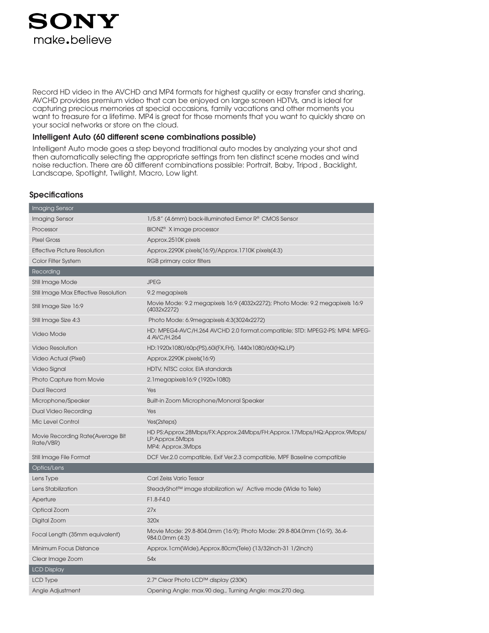

Record HD video in the AVCHD and MP4 formats for highest quality or easy transfer and sharing. AVCHD provides premium video that can be enjoyed on large screen HDTVs, and is ideal for capturing precious memories at special occasions, family vacations and other moments you want to treasure for a lifetime. MP4 is great for those moments that you want to quickly share on your social networks or store on the cloud.

#### Intelligent Auto (60 different scene combinations possible)

Intelligent Auto mode goes a step beyond traditional auto modes by analyzing your shot and then automatically selecting the appropriate settings from ten distinct scene modes and wind noise reduction. There are 60 different combinations possible: Portrait, Baby, Tripod , Backlight, Landscape, Spotlight, Twilight, Macro, Low light.

### **Specifications**

| Imaging Sensor                                |                                                                                                                |
|-----------------------------------------------|----------------------------------------------------------------------------------------------------------------|
| Imaging Sensor                                | 1/5.8" (4.6mm) back-illuminated Exmor R® CMOS Sensor                                                           |
| Processor                                     | BIONZ <sup>®</sup> X image processor                                                                           |
| <b>Pixel Gross</b>                            | Approx.2510K pixels                                                                                            |
| <b>Effective Picture Resolution</b>           | Approx.2290K pixels(16:9)/Approx.1710K pixels(4:3)                                                             |
| Color Filter System                           | RGB primary color filters                                                                                      |
| Recording                                     |                                                                                                                |
| Still Image Mode                              | <b>JPEG</b>                                                                                                    |
| Still Image Max Effective Resolution          | 9.2 megapixels                                                                                                 |
| Still Image Size 16:9                         | Movie Mode: 9.2 megapixels 16:9 (4032x2272); Photo Mode: 9.2 megapixels 16:9<br>(4032x2272)                    |
| Still Image Size 4:3                          | Photo Mode: 6.9megapixels 4:3(3024x2272)                                                                       |
| Video Mode                                    | HD: MPEG4-AVC/H.264 AVCHD 2.0 format.compatible; STD: MPEG2-PS; MP4: MPEG-<br>4 AVC/H.264                      |
| <b>Video Resolution</b>                       | HD:1920x1080/60p(PS),60i(FX,FH), 1440x1080/60i(HQ,LP)                                                          |
| Video Actual (Pixel)                          | Approx.2290K pixels(16:9)                                                                                      |
| Video Signal                                  | HDTV, NTSC color, EIA standards                                                                                |
| Photo Capture from Movie                      | 2.1 megapixels 16:9 (1920 x 1080)                                                                              |
| <b>Dual Record</b>                            | Yes                                                                                                            |
| Microphone/Speaker                            | Built-in Zoom Microphone/Monoral Speaker                                                                       |
| <b>Dual Video Recording</b>                   | Yes                                                                                                            |
| Mic Level Control                             | Yes(2steps)                                                                                                    |
| Movie Recording Rate(Average Bit<br>Rate/VBR) | HD PS:Approx.28Mbps/FX:Approx.24Mbps/FH:Approx.17Mbps/HQ:Approx.9Mbps/<br>LP:Approx.5Mbps<br>MP4: Approx.3Mbps |
| Still Image File Format                       | DCF Ver.2.0 compatible, Exif Ver.2.3 compatible, MPF Baseline compatible                                       |
| Optics/Lens                                   |                                                                                                                |
| Lens Type                                     | Carl Zeiss Vario Tessar                                                                                        |
| Lens Stabilization                            | SteadyShot™ image stabilization w/ Active mode (Wide to Tele)                                                  |
| Aperture                                      | F1.8-F4.0                                                                                                      |
| Optical Zoom                                  | 27x                                                                                                            |
| Digital Zoom                                  | 320x                                                                                                           |
| Focal Length (35mm equivalent)                | Movie Mode: 29.8-804.0mm (16:9); Photo Mode: 29.8-804.0mm (16:9), 36.4-<br>984.0.0mm (4:3)                     |
| Minimum Focus Distance                        | Approx.1cm(Wide),Approx.80cm(Tele) (13/32inch-31 1/2inch)                                                      |
| Clear Image Zoom                              | 54x                                                                                                            |
| <b>LCD Display</b>                            |                                                                                                                |
| LCD Type                                      | 2.7" Clear Photo LCD™ display (230K)                                                                           |
| Angle Adjustment                              | Opening Angle: max.90 deg., Turning Angle: max.270 deg.                                                        |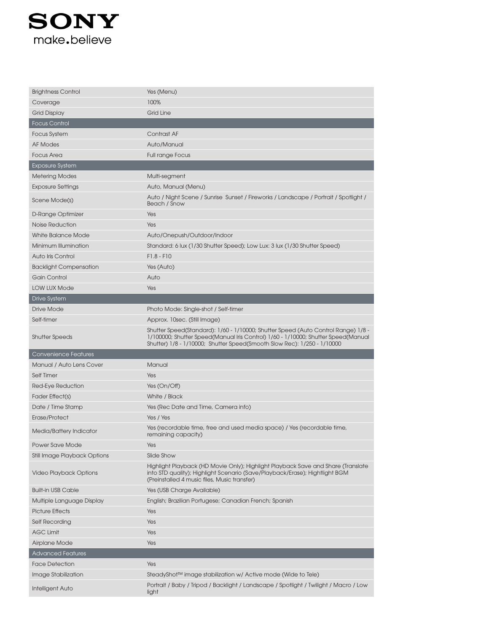

| <b>Brightness Control</b>           | Yes (Menu)                                                                                                                                                                                                      |
|-------------------------------------|-----------------------------------------------------------------------------------------------------------------------------------------------------------------------------------------------------------------|
| Coverage                            | 100%                                                                                                                                                                                                            |
| <b>Grid Display</b>                 | <b>Grid Line</b>                                                                                                                                                                                                |
| <b>Focus Control</b>                |                                                                                                                                                                                                                 |
| <b>Focus System</b>                 | Contrast AF                                                                                                                                                                                                     |
| <b>AF Modes</b>                     | Auto/Manual                                                                                                                                                                                                     |
| <b>Focus Area</b>                   | <b>Full range Focus</b>                                                                                                                                                                                         |
| <b>Exposure System</b>              |                                                                                                                                                                                                                 |
| <b>Metering Modes</b>               | Multi-segment                                                                                                                                                                                                   |
| <b>Exposure Settings</b>            | Auto, Manual (Menu)                                                                                                                                                                                             |
| Scene Mode(s)                       | Auto / Night Scene / Sunrise Sunset / Fireworks / Landscape / Portrait / Spotlight /<br>Beach / Snow                                                                                                            |
| D-Range Optimizer                   | Yes                                                                                                                                                                                                             |
| Noise Reduction                     | Yes                                                                                                                                                                                                             |
| <b>White Balance Mode</b>           | Auto/Onepush/Outdoor/Indoor                                                                                                                                                                                     |
| Minimum Illumination                | Standard: 6 lux (1/30 Shutter Speed); Low Lux: 3 lux (1/30 Shutter Speed)                                                                                                                                       |
| Auto Iris Control                   | $F1.8 - F10$                                                                                                                                                                                                    |
| <b>Backlight Compensation</b>       | Yes (Auto)                                                                                                                                                                                                      |
| Gain Control                        | Auto                                                                                                                                                                                                            |
| <b>LOW LUX Mode</b>                 | Yes                                                                                                                                                                                                             |
| Drive System                        |                                                                                                                                                                                                                 |
| Drive Mode                          | Photo Mode: Single-shot / Self-timer                                                                                                                                                                            |
| Self-timer                          | Approx. 10sec. (Still Image)                                                                                                                                                                                    |
| <b>Shutter Speeds</b>               | Shutter Speed(Standard): 1/60 - 1/10000; Shutter Speed (Auto Control Range) 1/8 -<br>1/100000; Shutter Speed(Manual Iris Control) 1/60 - 1/10000; Shutter Speed(Manual                                          |
|                                     | Shutter) 1/8 - 1/10000; Shutter Speed(Smooth Slow Rec): 1/250 - 1/10000                                                                                                                                         |
| <b>Convenience Features</b>         |                                                                                                                                                                                                                 |
| Manual / Auto Lens Cover            | Manual                                                                                                                                                                                                          |
| Self Timer                          | Yes                                                                                                                                                                                                             |
| Red-Eye Reduction                   | Yes (On/Off)                                                                                                                                                                                                    |
| Fader Effect(s)                     | White / Black                                                                                                                                                                                                   |
| Date / Time Stamp                   | Yes (Rec Date and Time, Camera info)                                                                                                                                                                            |
| Erase/Protect                       | Yes / Yes                                                                                                                                                                                                       |
| Media/Battery Indicator             | Yes (recordable time, free and used media space) / Yes (recordable time,<br>remaining capacity)                                                                                                                 |
| <b>Power Save Mode</b>              | Yes                                                                                                                                                                                                             |
| <b>Still Image Playback Options</b> | Slide Show                                                                                                                                                                                                      |
| <b>Video Playback Options</b>       | Highlight Playback (HD Movie Only); Highlight Playback Save and Share (Translate<br>into STD quality); Highlight Scenario (Save/Playback/Erase); Hightlight BGM<br>(Preinstalled 4 music files, Music transfer) |
| <b>Built-in USB Cable</b>           | Yes (USB Charge Available)                                                                                                                                                                                      |
| Multiple Language Display           | English; Brazilian Portugese; Canadian French; Spanish                                                                                                                                                          |
| <b>Picture Effects</b>              | Yes                                                                                                                                                                                                             |
| <b>Self Recording</b>               | Yes                                                                                                                                                                                                             |
| <b>AGC Limit</b>                    | Yes                                                                                                                                                                                                             |
| Airplane Mode                       | Yes                                                                                                                                                                                                             |
| <b>Advanced Features</b>            |                                                                                                                                                                                                                 |
| <b>Face Detection</b>               | Yes                                                                                                                                                                                                             |
| Image Stabilization                 | SteadyShot™ image stabilization w/ Active mode (Wide to Tele)                                                                                                                                                   |